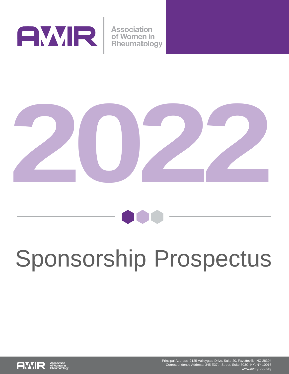

**Association** of Women in Rheumatology





# Sponsorship Prospectus

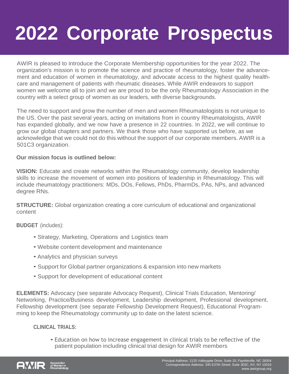## **2022 Corporate Prospectus**

AWIR is pleased to introduce the Corporate Membership opportunities for the year 2022. The organization's mission is to promote the science and practice of rheumatology, foster the advancement and education of women in rheumatology, and advocate access to the highest quality healthcare and management of patients with rheumatic diseases. While AWIR endeavors to support women we welcome all to join and we are proud to be the only Rheumatology Association in the country with a select group of women as our leaders, with diverse backgrounds.

The need to support and grow the number of men and women Rheumatologists is not unique to the US. Over the past several years, acting on invitations from in country Rheumatologists, AWIR has expanded globally, and we now have a presence in 22 countries. In 2022, we will continue to grow our global chapters and partners. We thank those who have supported us before, as we acknowledge that we could not do this without the support of our corporate members. AWIR is a 501C3 organization.

#### **Our mission focus is outlined below:**

**VISION:** Educate and create networks within the Rheumatology community, develop leadership skills to increase the movement of women into positions of leadership in Rheumatology. This will include rheumatology practitioners: MDs, DOs, Fellows, PhDs, PharmDs, PAs, NPs, and advanced degree RNs.

**STRUCTURE:** Global organization creating a core curriculum of educational and organizational content

**BUDGET** (includes):

- Strategy, Marketing, Operations and Logistics team
- Website content development and maintenance
- Analytics and physician surveys
- Support for Global partner organizations & expansion into new markets
- Support for development of educational content

**ELEMENTS:** Advocacy (see separate Advocacy Request), Clinical Trials Education, Mentoring/ Networking, Practice/Business development, Leadership development, Professional development, Fellowship development (see separate Fellowship Development Request), Educational Programming to keep the Rheumatology community up to date on the latest science.

#### **CLINICAL TRIALS:**

• Education on how to increase engagement in clinical trials to be reflective of the patient population including clinical trial design for AWIR members

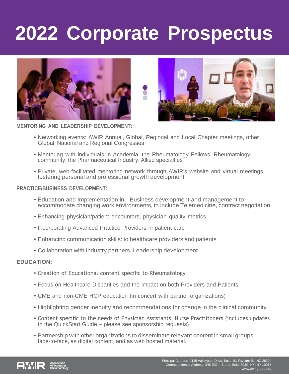### **2022 Corporate Prospectus**





**MENTORING AND LEADERSHIP DEVELOPMENT:**

- Networking events: AWIR Annual, Global, Regional and Local Chapter meetings, other Global, National and Regional Congresses
- Mentoring with individuals in Academia, the Rheumatology Fellows, Rheumatology community, the Pharmaceutical Industry, Allied specialties
- Private, web-facilitated mentoring network through AWIR's website and virtual meetings fostering personal and professional growth development

#### **PRACTICE/BUSINESS DEVELOPMENT:**

- Education and Implementation in Business development and management to accommodate changing work environments, to include Telemedicine, contract negotiation
- Enhancing physician/patient encounters, physician quality metrics
- Incorporating Advanced Practice Providers in patient care
- Enhancing communication skills: to healthcare providers and patients
- Collaboration with Industry partners, Leadership development

#### **EDUCATION:**

- Creation of Educational content specific to Rheumatology
- Focus on Healthcare Disparities and the impact on both Providers and Patients
- CME and non-CME HCP education (in concert with partner organizations)
- Highlighting gender inequity and recommendations for change in the clinical community
- Content specific to the needs of Physician Assistants, Nurse Practitioners (includes updates to the QuickStart Guide – please see sponsorship requests)
- Partnership with other organizations to disseminate relevant content in small groups face-to-face, as digital content, and as web hosted material.

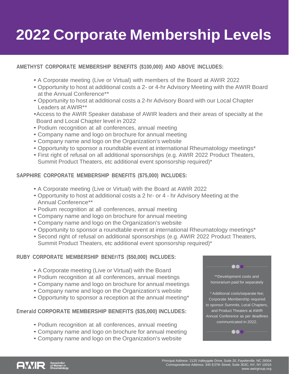### **2022 Corporate Membership Levels**

#### **AMETHYST CORPORATE MEMBERSHIP BENEFITS (\$100,000) AND ABOVE INCLUDES:**

- A Corporate meeting (Live or Virtual) with members of the Board at AWIR 2022
- Opportunity to host at additional costs a 2- or 4-hr Advisory Meeting with the AWIR Board at the Annual Conference\*\*
- Opportunity to host at additional costs a 2-hr Advisory Board with our Local Chapter Leaders at AWIR\*\*
- •Access to the AWIR Speaker database of AWIR leaders and their areas of specialty at the Board and Local Chapter level in 2022
- Podium recognition at all conferences, annual meeting
- Company name and logo on brochure for annual meeting
- Company name and logo on the Organization's website
- Opportunity to sponsor a roundtable event at international Rheumatology meetings\*
- First right of refusal on all additional sponsorships (e.g. AWIR 2022 Product Theaters, Summit Product Theaters, etc additional event sponsorship required)\*

#### **SAPPHIRE CORPORATE MEMBERSHIP BENEFITS (\$75,000) INCLUDES:**

- A Corporate meeting (Live or Virtual) with the Board at AWIR 2022
- Opportunity to host at additional costs a 2 hr- or 4 hr Advisory Meeting at the Annual Conference\*\*
- Podium recognition at all conferences, annual meeting
- Company name and logo on brochure for annual meeting
- Company name and logo on the Organization's website
- Opportunity to sponsor a roundtable event at international Rheumatology meetings\*
- Second right of refusal on additional sponsorships (e.g. AWIR 2022 Product Theaters, Summit Product Theaters, etc additional event sponsorship required)\*

#### **RUBY CORPORATE MEMBERSHIP BENEFITS (\$50,000) INCLUDES:**

- A Corporate meeting (Live or Virtual) with the Board
- Podium recognition at all conferences, annual meetings
- Company name and logo on brochure for annual meetings
- Company name and logo on the Organization's website
- Opportunity to sponsor a reception at the annual meeting\*

#### **Emerald CORPORATE MEMBERSHIP BENEFITS (\$35,000) INCLUDES:**

- Podium recognition at all conferences, annual meeting
- Company name and logo on brochure for annual meeting
- Company name and logo on the Organization's website



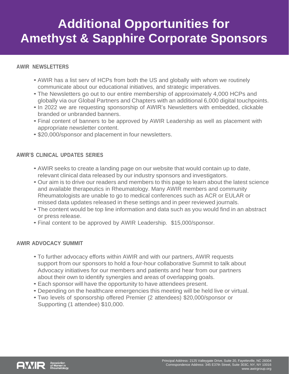### **Additional Opportunities for Amethyst & Sapphire Corporate Sponsors**

#### **AWIR NEWSLETTERS**

- AWIR has a list serv of HCPs from both the US and globally with whom we routinely communicate about our educational initiatives, and strategic imperatives.
- The Newsletters go out to our entire membership of approximately 4,000 HCPs and globally via our Global Partners and Chapters with an additional 6,000 digital touchpoints.
- In 2022 we are requesting sponsorship of AWIR's Newsletters with embedded, clickable branded or unbranded banners.
- Final content of banners to be approved by AWIR Leadership as well as placement with appropriate newsletter content.
- \$20,000/sponsor and placement in four newsletters.

#### **AWIR'S CLINICAL UPDATES SERIES**

- AWIR seeks to create a landing page on our website that would contain up to date, relevant clinical data released by our industry sponsors and investigators.
- Our aim is to drive our readers and members to this page to learn about the latest science and available therapeutics in Rheumatology. Many AWIR members and community Rheumatologists are unable to go to medical conferences such as ACR or EULAR or missed data updates released in these settings and in peer reviewed journals.
- The content would be top line information and data such as you would find in an abstract or press release.
- Final content to be approved by AWIR Leadership. \$15,000/sponsor.

#### **AWIR ADVOCACY SUMMIT**

- To further advocacy efforts within AWIR and with our partners, AWIR requests support from our sponsors to hold a four-hour collaborative Summit to talk about Advocacy initiatives for our members and patients and hear from our partners about their own to identify synergies and areas of overlapping goals.
- Each sponsor will have the opportunity to have attendees present.
- Depending on the healthcare emergencies this meeting will be held live or virtual.
- Two levels of sponsorship offered Premier (2 attendees) \$20,000/sponsor or Supporting (1 attendee) \$10,000.

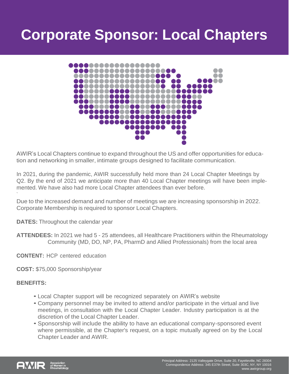### **Corporate Sponsor: Local Chapters**



AWIR's Local Chapters continue to expand throughout the US and offer opportunities for education and networking in smaller, intimate groups designed to facilitate communication.

In 2021, during the pandemic, AWIR successfully held more than 24 Local Chapter Meetings by Q2. By the end of 2021 we anticipate more than 40 Local Chapter meetings will have been implemented. We have also had more Local Chapter attendees than ever before.

Due to the increased demand and number of meetings we are increasing sponsorship in 2022. Corporate Membership is required to sponsor Local Chapters.

**DATES:** Throughout the calendar year

**ATTENDEES:** In 2021 we had 5 - 25 attendees, all Healthcare Practitioners within the Rheumatology Community (MD, DO, NP, PA, PharmD and Allied Professionals) from the local area

**CONTENT:** HCP centered education

**COST:** \$75,000 Sponsorship/year

#### **BENEFITS:**

- Local Chapter support will be recognized separately on AWIR's website
- Company personnel may be invited to attend and/or participate in the virtual and live meetings, in consultation with the Local Chapter Leader. Industry participation is at the discretion of the Local Chapter Leader.
- Sponsorship will include the ability to have an educational company-sponsored event where permissible, at the Chapter's request, on a topic mutually agreed on by the Local Chapter Leader and AWIR.

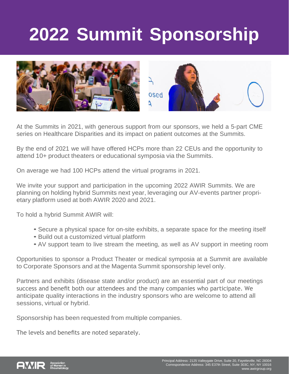### **2022 Summit Sponsorship**



At the Summits in 2021, with generous support from our sponsors, we held a 5-part CME series on Healthcare Disparities and its impact on patient outcomes at the Summits.

By the end of 2021 we will have offered HCPs more than 22 CEUs and the opportunity to attend 10+ product theaters or educational symposia via the Summits.

On average we had 100 HCPs attend the virtual programs in 2021.

We invite your support and participation in the upcoming 2022 AWIR Summits. We are planning on holding hybrid Summits next year, leveraging our AV-events partner proprietary platform used at both AWIR 2020 and 2021.

To hold a hybrid Summit AWIR will:

- Secure a physical space for on-site exhibits, a separate space for the meeting itself
- Build out a customized virtual platform
- AV support team to live stream the meeting, as well as AV support in meeting room

Opportunities to sponsor a Product Theater or medical symposia at a Summit are available to Corporate Sponsors and at the Magenta Summit sponsorship level only.

Partners and exhibits (disease state and/or product) are an essential part of our meetings success and benefit both our attendees and the many companies who participate. We anticipate quality interactions in the industry sponsors who are welcome to attend all sessions, virtual or hybrid.

Sponsorship has been requested from multiple companies.

The levels and benefits are noted separately.

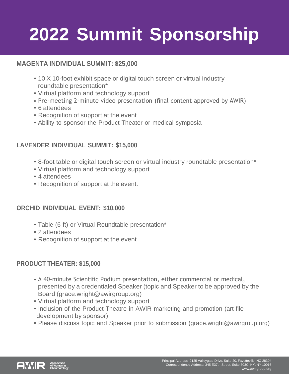### **2022 Summit Sponsorship**

#### **MAGENTA INDIVIDUAL SUMMIT: \$25,000**

- 10 X 10-foot exhibit space or digital touch screen or virtual industry roundtable presentation\*
- Virtual platform and technology support
- Pre-meeting 2-minute video presentation (final content approved by AWIR)
- 6 attendees
- Recognition of support at the event
- Ability to sponsor the Product Theater or medical symposia

#### **LAVENDER INDIVIDUAL SUMMIT: \$15,000**

- 8-foot table or digital touch screen or virtual industry roundtable presentation\*
- Virtual platform and technology support
- 4 attendees
- Recognition of support at the event.

#### **ORCHID INDIVIDUAL EVENT: \$10,000**

- Table (6 ft) or Virtual Roundtable presentation\*
- 2 attendees
- Recognition of support at the event

#### **PRODUCT THEATER: \$15,000**

- A 40-minute Scientific Podium presentation, either commercial or medical, presented by a credentialed Speaker (topic and Speaker to be approved by the Board (grace.wright@awirgroup.org)
- Virtual platform and technology support
- Inclusion of the Product Theatre in AWIR marketing and promotion (art file development by sponsor)
- Please discuss topic and Speaker prior to submission (grace.wright@awirgroup.org)

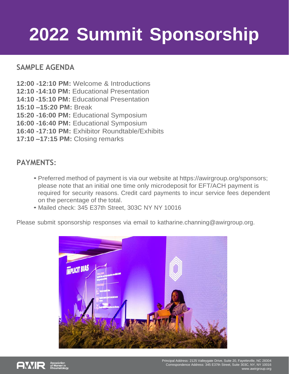### **2022 Summit Sponsorship**

#### **SAMPLE AGENDA**

- **12:00 -12:10 PM:** Welcome & Introductions
- **12:10 -14:10 PM:** Educational Presentation
- **14:10 -15:10 PM:** Educational Presentation
- **15:10 –15:20 PM:** Break
- **15:20 -16:00 PM:** Educational Symposium
- **16:00 -16:40 PM:** Educational Symposium
- **16:40 -17:10 PM:** Exhibitor Roundtable/Exhibits
- **17:10 –17:15 PM:** Closing remarks

#### **PAYMENTS:**

- Preferred method of payment is via our website at https://awirgroup.org/sponsors; please note that an initial one time only microdeposit for EFT/ACH payment is required for security reasons. Credit card payments to incur service fees dependent on the percentage of the total.
- Mailed check: 345 E37th Street, 303C NY NY 10016

Please submit sponsorship responses via email to [katharine.channing@awirgroup.org.](mailto:katharine.channing@awirgroup.org)



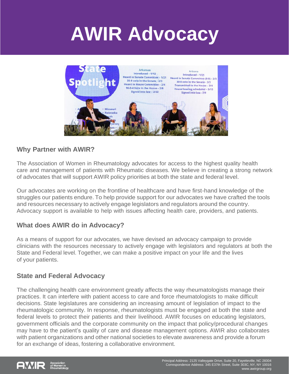### **AWIR Advocacy**



#### **Why Partner with AWIR?**

The Association of Women in Rheumatology advocates for access to the highest quality health care and management of patients with Rheumatic diseases. We believe in creating a strong network of advocates that will support AWIR policy priorities at both the state and federal level.

Our advocates are working on the frontline of healthcare and have first-hand knowledge of the struggles our patients endure. To help provide support for our advocates we have crafted the tools and resources necessary to actively engage legislators and regulators around the country. Advocacy support is available to help with issues affecting health care, providers, and patients.

#### **What does AWIR do in Advocacy?**

As a means of support for our advocates, we have devised an advocacy campaign to provide clinicians with the resources necessary to actively engage with legislators and regulators at both the State and Federal level. Together, we can make a positive impact on your life and the lives of your patients.

#### **State and Federal Advocacy**

The challenging health care environment greatly affects the way rheumatologists manage their practices. It can interfere with patient access to care and force rheumatologists to make difficult decisions. State legislatures are considering an increasing amount of legislation of impact to the rheumatologic community. In response, rheumatologists must be engaged at both the state and federal levels to protect their patients and their livelihood. AWIR focuses on educating legislators, government officials and the corporate community on the impact that policy/procedural changes may have to the patient's quality of care and disease management options. AWIR also collaborates with patient organizations and other national societies to elevate awareness and provide a forum for an exchange of ideas, fostering a collaborative environment.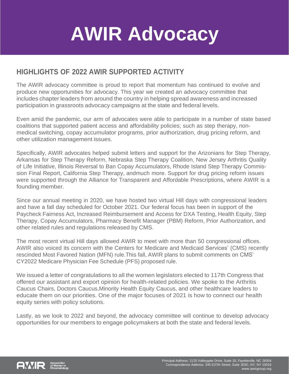### **AWIR Advocacy**

#### **HIGHLIGHTS OF 2022 AWIR SUPPORTED ACTIVITY**

The AWIR advocacy committee is proud to report that momentum has continued to evolve and produce new opportunities for advocacy. This year we created an advocacy committee that includes chapter leaders from around the country in helping spread awareness and increased participation in grassroots advocacy campaigns at the state and federal levels.

Even amid the pandemic, our arm of advocates were able to participate in a number of state based coalitions that supported patient access and affordability policies; such as step therapy, nonmedical switching, copay accumulator programs, prior authorization, drug pricing reform, and other utilization management issues.

Specifically, AWIR advocates helped submit letters and support for the Arizonians for Step Therapy, Arkansas for Step Therapy Reform, Nebraska Step Therapy Coalition, New Jersey Arthritis Quality of Life Initiative, Illinois Reversal to Ban Copay Accumulators, Rhode Island Step Therapy Commission Final Report, California Step Therapy, andmuch more. Support for drug pricing reform issues were supported through the Alliance for Transparent and Affordable Prescriptions, where AWIR is a founding member.

Since our annual meeting in 2020, we have hosted two virtual Hill days with congressional leaders and have a fall day scheduled for October 2021. Our federal focus has been in support of the Paycheck Fairness Act, Increased Reimbursement and Access for DXA Testing, Health Equity, Step Therapy, Copay Accumulators, Pharmacy Benefit Manager (PBM) Reform, Prior Authorization, and other related rules and regulations released by CMS.

The most recent virtual Hill days allowed AWIR to meet with more than 50 congressional offices. AWIR also voiced its concern with the Centers for Medicare and Medicaid Services' (CMS) recently rescinded Most Favored Nation (MFN) rule.This fall, AWIR plans to submit comments on CMS' CY2022 Medicare Physician Fee Schedule (PFS) proposed rule.

We issued a letter of congratulations to all the women legislators elected to 117th Congress that offered our assistant and export opinion for health-related policies. We spoke to the Arthritis Caucus Chairs, Doctors Caucus,Minority Health Equity Caucus, and other healthcare leaders to educate them on our priorities. One of the major focuses of 2021 is how to connect our health equity series with policy solutions.

Lastly, as we look to 2022 and beyond, the advocacy committee will continue to develop advocacy opportunities for our members to engage policymakers at both the state and federal levels.

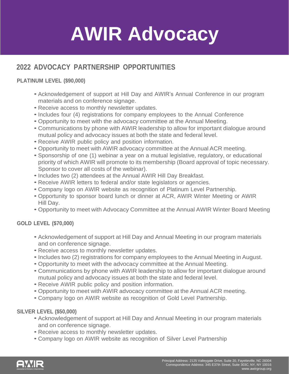## **AWIR Advocacy**

#### **2022 ADVOCACY PARTNERSHIP OPPORTUNITIES**

#### **PLATINUM LEVEL (\$90,000)**

- Acknowledgement of support at Hill Day and AWIR's Annual Conference in our program materials and on conference signage.
- Receive access to monthly newsletter updates.
- Includes four (4) registrations for company employees to the Annual Conference
- Opportunity to meet with the advocacy committee at the Annual Meeting.
- Communications by phone with AWIR leadership to allow for important dialogue around mutual policy and advocacy issues at both the state and federal level.
- Receive AWIR public policy and position information.
- Opportunity to meet with AWIR advocacy committee at the Annual ACR meeting.
- Sponsorship of one (1) webinar a year on a mutual legislative, regulatory, or educational priority of which AWIR will promote to its membership (Board approval of topic necessary. Sponsor to cover all costs of the webinar).
- Includes two (2) attendees at the Annual AWIR Hill Day Breakfast.
- Receive AWIR letters to federal and/or state legislators or agencies.
- Company logo on AWIR website as recognition of Platinum Level Partnership.
- Opportunity to sponsor board lunch or dinner at ACR, AWIR Winter Meeting or AWIR Hill Day.
- Opportunity to meet with Advocacy Committee at the Annual AWIR Winter Board Meeting

#### **GOLD LEVEL (\$70,000)**

- Acknowledgement of support at Hill Day and Annual Meeting in our program materials and on conference signage.
- Receive access to monthly newsletter updates.
- Includes two (2) registrations for company employees to the Annual Meeting in August.
- Opportunity to meet with the advocacy committee at the Annual Meeting.
- Communications by phone with AWIR leadership to allow for important dialogue around mutual policy and advocacy issues at both the state and federal level.
- Receive AWIR public policy and position information.
- Opportunity to meet with AWIR advocacy committee at the Annual ACR meeting.
- Company logo on AWIR website as recognition of Gold Level Partnership.

#### **SILVER LEVEL (\$50,000)**

- Acknowledgement of support at Hill Day and Annual Meeting in our program materials and on conference signage.
- Receive access to monthly newsletter updates.
- Company logo on AWIR website as recognition of Silver Level Partnership